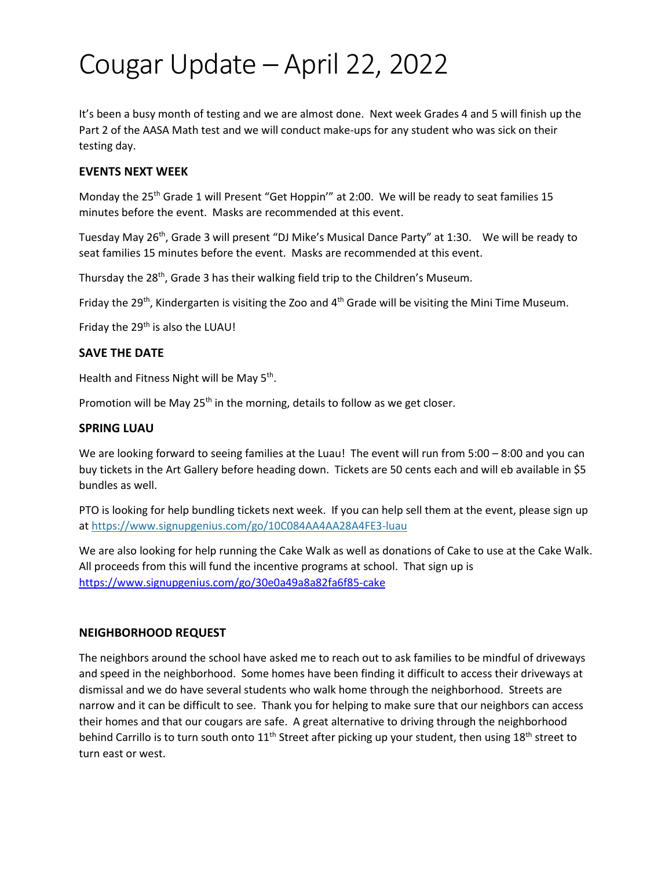# Cougar Update – April 22, 2022

It's been a busy month of testing and we are almost done. Next week Grades 4 and 5 will finish up the Part 2 of the AASA Math test and we will conduct make-ups for any student who was sick on their testing day.

# **EVENTS NEXT WEEK**

Monday the 25th Grade 1 will Present "Get Hoppin'" at 2:00. We will be ready to seat families 15 minutes before the event. Masks are recommended at this event.

Tuesday May 26th, Grade 3 will present "DJ Mike's Musical Dance Party" at 1:30. We will be ready to seat families 15 minutes before the event. Masks are recommended at this event.

Thursday the 28<sup>th</sup>, Grade 3 has their walking field trip to the Children's Museum.

Friday the 29<sup>th</sup>, Kindergarten is visiting the Zoo and  $4<sup>th</sup>$  Grade will be visiting the Mini Time Museum.

Friday the 29<sup>th</sup> is also the LUAU!

#### **SAVE THE DATE**

Health and Fitness Night will be May 5<sup>th</sup>.

Promotion will be May 25<sup>th</sup> in the morning, details to follow as we get closer.

#### **SPRING LUAU**

We are looking forward to seeing families at the Luau! The event will run from 5:00 – 8:00 and you can buy tickets in the Art Gallery before heading down. Tickets are 50 cents each and will eb available in \$5 bundles as well.

PTO is looking for help bundling tickets next week. If you can help sell them at the event, please sign up at [https://www.signupgenius.com/go/10C084AA4AA28A4FE3-luau](https://nam04.safelinks.protection.outlook.com/?url=https%3A%2F%2Fwww.signupgenius.com%2Fgo%2F10C084AA4AA28A4FE3-luau&data=05%7C01%7Ckirstin.bittel%40tusd1.org%7Cbbb857956bac4f44d30808da1dceec51%7Cbc7050e04bcc48099245ea8b65084865%7C0%7C0%7C637855072289806913%7CUnknown%7CTWFpbGZsb3d8eyJWIjoiMC4wLjAwMDAiLCJQIjoiV2luMzIiLCJBTiI6Ik1haWwiLCJXVCI6Mn0%3D%7C2000%7C%7C%7C&sdata=jc%2FHnJnYPbpMNPCBJ93JM%2BlIgwza1uwpao1Q9S%2F5Ljw%3D&reserved=0)

We are also looking for help running the Cake Walk as well as donations of Cake to use at the Cake Walk. All proceeds from this will fund the incentive programs at school. That sign up is <https://www.signupgenius.com/go/30e0a49a8a82fa6f85-cake>

## **NEIGHBORHOOD REQUEST**

The neighbors around the school have asked me to reach out to ask families to be mindful of driveways and speed in the neighborhood. Some homes have been finding it difficult to access their driveways at dismissal and we do have several students who walk home through the neighborhood. Streets are narrow and it can be difficult to see. Thank you for helping to make sure that our neighbors can access their homes and that our cougars are safe. A great alternative to driving through the neighborhood behind Carrillo is to turn south onto  $11<sup>th</sup>$  Street after picking up your student, then using  $18<sup>th</sup>$  street to turn east or west.